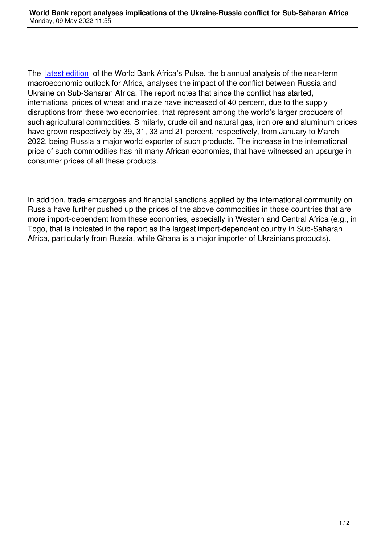The latest edition of the World Bank Africa's Pulse, the biannual analysis of the near-term macroeconomic outlook for Africa, analyses the impact of the conflict between Russia and Ukraine on Sub-Saharan Africa. The report notes that since the conflict has started, inter[national price](https://openknowledge.worldbank.org/bitstream/handle/10986/37281/9781464818714.pdf?sequence=2&isAllowed=y)s of wheat and maize have increased of 40 percent, due to the supply disruptions from these two economies, that represent among the world's larger producers of such agricultural commodities. Similarly, crude oil and natural gas, iron ore and aluminum prices have grown respectively by 39, 31, 33 and 21 percent, respectively, from January to March 2022, being Russia a major world exporter of such products. The increase in the international price of such commodities has hit many African economies, that have witnessed an upsurge in consumer prices of all these products.

In addition, trade embargoes and financial sanctions applied by the international community on Russia have further pushed up the prices of the above commodities in those countries that are more import-dependent from these economies, especially in Western and Central Africa (e.g., in Togo, that is indicated in the report as the largest import-dependent country in Sub-Saharan Africa, particularly from Russia, while Ghana is a major importer of Ukrainians products).